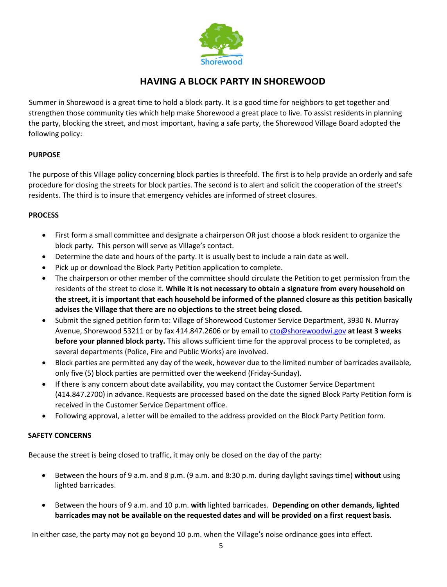

## **HAVING A BLOCK PARTY IN SHOREWOOD**

Summer in Shorewood is a great time to hold a block party. It is a good time for neighbors to get together and strengthen those community ties which help make Shorewood a great place to live. To assist residents in planning the party, blocking the street, and most important, having a safe party, the Shorewood Village Board adopted the following policy:

### **PURPOSE**

The purpose of this Village policy concerning block parties is threefold. The first is to help provide an orderly and safe procedure for closing the streets for block parties. The second is to alert and solicit the cooperation of the street's residents. The third is to insure that emergency vehicles are informed of street closures.

#### **PROCESS**

- First form a small committee and designate a chairperson OR just choose a block resident to organize the block party. This person will serve as Village's contact.
- Determine the date and hours of the party. It is usually best to include a rain date as well.
- Pick up or download the Block Party Petition application to complete.
- The chairperson or other member of the committee should circulate the Petition to get permission from the residents of the street to close it. **While it is not necessary to obtain a signature from every household on the street, it is important that each household be informed of the planned closure as this petition basically advises the Village that there are no objections to the street being closed.**
- Submit the signed petition form to: Village of Shorewood Customer Service Department, 3930 N. Murray Avenue, Shorewood 53211 or by fax 414.847.2606 or by email t[o cto@shorewoodwi.gov](mailto:cto@shorewoodwi.gov) **at least 3 weeks before your planned block party.** This allows sufficient time for the approval process to be completed, as several departments (Police, Fire and Public Works) are involved.
- Block parties are permitted any day of the week, however due to the limited number of barricades available, only five (5) block parties are permitted over the weekend (Friday-Sunday).
- If there is any concern about date availability, you may contact the Customer Service Department (414.847.2700) in advance. Requests are processed based on the date the signed Block Party Petition form is received in the Customer Service Department office.
- Following approval, a letter will be emailed to the address provided on the Block Party Petition form.

#### **SAFETY CONCERNS**

Because the street is being closed to traffic, it may only be closed on the day of the party:

- Between the hours of 9 a.m. and 8 p.m. (9 a.m. and 8:30 p.m. during daylight savings time) **without** using lighted barricades.
- Between the hours of 9 a.m. and 10 p.m. **with** lighted barricades. **Depending on other demands, lighted barricades may not be available on the requested dates and will be provided on a first request basis**.

In either case, the party may not go beyond 10 p.m. when the Village's noise ordinance goes into effect.